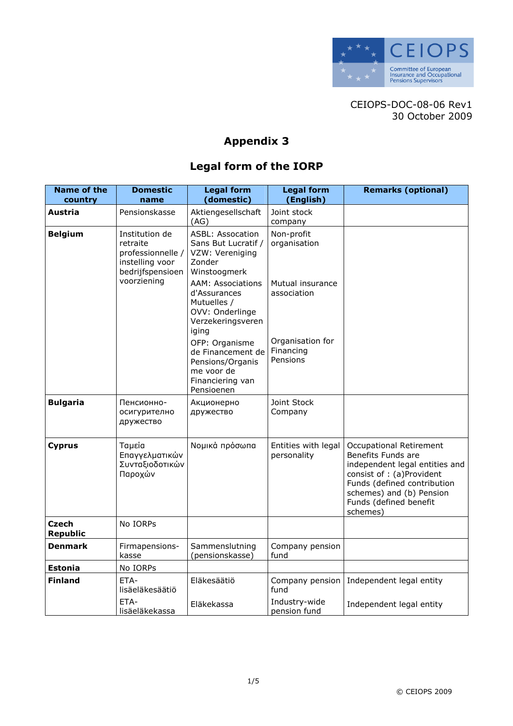

CEIOPS-DOC-08-06 Rev1 30 October 2009

## Appendix 3

## Legal form of the IORP

| <b>Name of the</b><br>country | <b>Domestic</b><br>name                                                                | <b>Legal form</b><br>(domestic)                                                                          | <b>Legal form</b><br>(English)            | <b>Remarks (optional)</b>                                                                                                                                                                                     |
|-------------------------------|----------------------------------------------------------------------------------------|----------------------------------------------------------------------------------------------------------|-------------------------------------------|---------------------------------------------------------------------------------------------------------------------------------------------------------------------------------------------------------------|
| Austria                       | Pensionskasse                                                                          | Aktiengesellschaft<br>(AG)                                                                               | Joint stock<br>company                    |                                                                                                                                                                                                               |
| <b>Belgium</b>                | Institution de<br>retraite<br>professionnelle /<br>instelling voor<br>bedrijfspensioen | <b>ASBL: Assocation</b><br>Sans But Lucratif /<br>VZW: Vereniging<br>Zonder<br>Winstoogmerk              | Non-profit<br>organisation                |                                                                                                                                                                                                               |
|                               | voorziening                                                                            | <b>AAM: Associations</b><br>d'Assurances<br>Mutuelles /<br>OVV: Onderlinge<br>Verzekeringsveren<br>iging | Mutual insurance<br>association           |                                                                                                                                                                                                               |
|                               |                                                                                        | OFP: Organisme<br>de Financement de<br>Pensions/Organis<br>me voor de<br>Financiering van<br>Pensioenen  | Organisation for<br>Financing<br>Pensions |                                                                                                                                                                                                               |
| <b>Bulgaria</b>               | Пенсионно-<br>осигурително<br>дружество                                                | Акционерно<br>дружество                                                                                  | Joint Stock<br>Company                    |                                                                                                                                                                                                               |
| <b>Cyprus</b>                 | Ταμεία<br>Επαγγελματικών<br>Συνταξιοδοτικών<br>Παροχών                                 | Νομικά πρόσωπα                                                                                           | Entities with legal<br>personality        | Occupational Retirement<br>Benefits Funds are<br>independent legal entities and<br>consist of : (a)Provident<br>Funds (defined contribution<br>schemes) and (b) Pension<br>Funds (defined benefit<br>schemes) |
| Czech<br><b>Republic</b>      | No IORPs                                                                               |                                                                                                          |                                           |                                                                                                                                                                                                               |
| <b>Denmark</b>                | Firmapensions-<br>kasse                                                                | Sammenslutning<br>(pensionskasse)                                                                        | Company pension<br>fund                   |                                                                                                                                                                                                               |
| <b>Estonia</b>                | No IORPs                                                                               |                                                                                                          |                                           |                                                                                                                                                                                                               |
| <b>Finland</b>                | ETA-<br>lisäeläkesäätiö                                                                | Eläkesäätiö                                                                                              | Company pension<br>fund                   | Independent legal entity                                                                                                                                                                                      |
|                               | ETA-<br>lisäeläkekassa                                                                 | Eläkekassa                                                                                               | Industry-wide<br>pension fund             | Independent legal entity                                                                                                                                                                                      |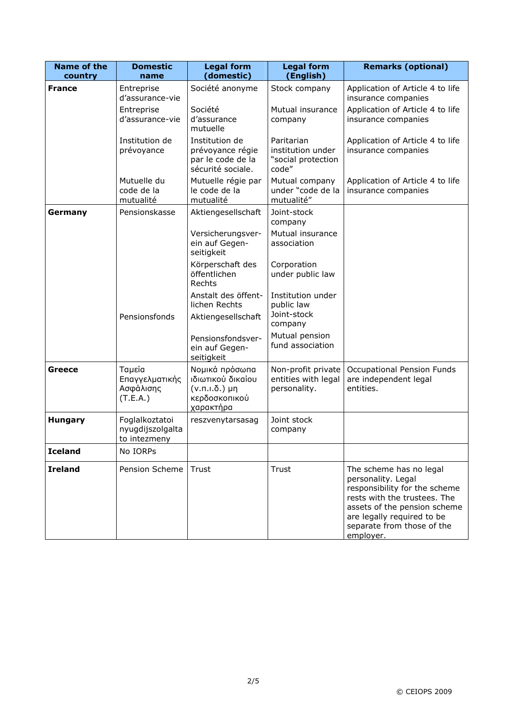| <b>Name of the</b>       | <b>Domestic</b>                                    | <b>Legal form</b><br>(domestic)                                                           | <b>Legal form</b><br>(English)                                 | <b>Remarks (optional)</b>                                                                                                                                                                                               |
|--------------------------|----------------------------------------------------|-------------------------------------------------------------------------------------------|----------------------------------------------------------------|-------------------------------------------------------------------------------------------------------------------------------------------------------------------------------------------------------------------------|
| country<br><b>France</b> | name<br>Entreprise                                 | Société anonyme                                                                           | Stock company                                                  | Application of Article 4 to life                                                                                                                                                                                        |
|                          | d'assurance-vie                                    |                                                                                           |                                                                | insurance companies                                                                                                                                                                                                     |
|                          | Entreprise<br>d'assurance-vie                      | Société<br>d'assurance<br>mutuelle                                                        | Mutual insurance<br>company                                    | Application of Article 4 to life<br>insurance companies                                                                                                                                                                 |
|                          | Institution de<br>prévoyance                       | Institution de<br>prévoyance régie<br>par le code de la<br>sécurité sociale.              | Paritarian<br>institution under<br>"social protection<br>code" | Application of Article 4 to life<br>insurance companies                                                                                                                                                                 |
|                          | Mutuelle du<br>code de la<br>mutualité             | Mutuelle régie par<br>le code de la<br>mutualité                                          | Mutual company<br>under "code de la<br>mutualité"              | Application of Article 4 to life<br>insurance companies                                                                                                                                                                 |
| Germany                  | Pensionskasse                                      | Aktiengesellschaft                                                                        | Joint-stock<br>company                                         |                                                                                                                                                                                                                         |
|                          |                                                    | Versicherungsver-<br>ein auf Gegen-<br>seitigkeit                                         | Mutual insurance<br>association                                |                                                                                                                                                                                                                         |
|                          |                                                    | Körperschaft des<br>öffentlichen<br>Rechts                                                | Corporation<br>under public law                                |                                                                                                                                                                                                                         |
|                          | Pensionsfonds                                      | Anstalt des öffent-<br>lichen Rechts<br>Aktiengesellschaft                                | Institution under<br>public law<br>Joint-stock<br>company      |                                                                                                                                                                                                                         |
|                          |                                                    | Pensionsfondsver-<br>ein auf Gegen-<br>seitigkeit                                         | Mutual pension<br>fund association                             |                                                                                                                                                                                                                         |
| <b>Greece</b>            | Ταμεία<br>Επαγγελματικής<br>Ασφάλισης<br>(T.E.A.)  | Νομικά πρόσωπα<br>ιδιωτικού δικαίου<br>$(v.n.n.\delta.)$ µη<br>κερδοσκοπικού<br>χαρακτήρα | Non-profit private<br>entities with legal<br>personality.      | Occupational Pension Funds<br>are independent legal<br>entities.                                                                                                                                                        |
| <b>Hungary</b>           | Foglalkoztatoi<br>nyugdijszolgalta<br>to intezmeny | reszvenytarsasag                                                                          | Joint stock<br>company                                         |                                                                                                                                                                                                                         |
| <b>Iceland</b>           | No IORPs                                           |                                                                                           |                                                                |                                                                                                                                                                                                                         |
| <b>Ireland</b>           | Pension Scheme                                     | Trust                                                                                     | Trust                                                          | The scheme has no legal<br>personality. Legal<br>responsibility for the scheme<br>rests with the trustees. The<br>assets of the pension scheme<br>are legally required to be<br>separate from those of the<br>employer. |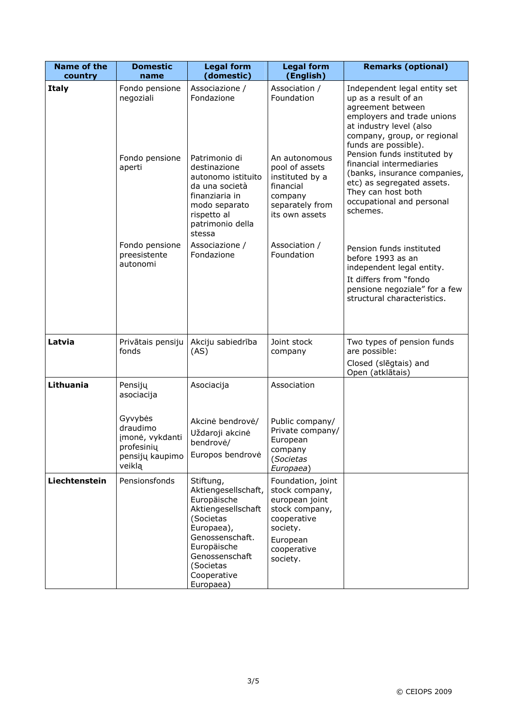| <b>Name of the</b>      | <b>Domestic</b><br>name                                                           | <b>Legal form</b><br>(domestic)                                                                                                                                                               | <b>Legal form</b><br>(English)                                                                                                            | <b>Remarks (optional)</b>                                                                                                                                                                                                |
|-------------------------|-----------------------------------------------------------------------------------|-----------------------------------------------------------------------------------------------------------------------------------------------------------------------------------------------|-------------------------------------------------------------------------------------------------------------------------------------------|--------------------------------------------------------------------------------------------------------------------------------------------------------------------------------------------------------------------------|
| country<br><b>Italy</b> | Fondo pensione<br>negoziali                                                       | Associazione /<br>Fondazione                                                                                                                                                                  | Association /<br>Foundation                                                                                                               | Independent legal entity set<br>up as a result of an<br>agreement between<br>employers and trade unions<br>at industry level (also<br>company, group, or regional<br>funds are possible).<br>Pension funds instituted by |
|                         | Fondo pensione<br>aperti                                                          | Patrimonio di<br>destinazione<br>autonomo istituito<br>da una società<br>finanziaria in<br>modo separato<br>rispetto al<br>patrimonio della<br>stessa                                         | An autonomous<br>pool of assets<br>instituted by a<br>financial<br>company<br>separately from<br>its own assets                           | financial intermediaries<br>(banks, insurance companies,<br>etc) as segregated assets.<br>They can host both<br>occupational and personal<br>schemes.                                                                    |
|                         | Fondo pensione<br>preesistente<br>autonomi                                        | Associazione /<br>Fondazione                                                                                                                                                                  | Association /<br>Foundation                                                                                                               | Pension funds instituted<br>before 1993 as an<br>independent legal entity.<br>It differs from "fondo<br>pensione negoziale" for a few<br>structural characteristics.                                                     |
| Latvia                  | Privātais pensiju<br>fonds                                                        | Akciju sabiedrība<br>(AS)                                                                                                                                                                     | Joint stock<br>company                                                                                                                    | Two types of pension funds<br>are possible:<br>Closed (slēgtais) and<br>Open (atklātais)                                                                                                                                 |
| Lithuania               | Pensijų<br>asociacija                                                             | Asociacija                                                                                                                                                                                    | Association                                                                                                                               |                                                                                                                                                                                                                          |
|                         | Gyvybės<br>draudimo<br>įmonė, vykdanti<br>profesinių<br>pensijų kaupimo<br>veiklą | Akcinė bendrovė/<br>Uždaroji akcinė<br>bendrovė/<br>Europos bendrovė                                                                                                                          | Public company/<br>Private company/<br>European<br>company<br>(Societas<br>Europaea)                                                      |                                                                                                                                                                                                                          |
| Liechtenstein           | Pensionsfonds                                                                     | Stiftung,<br>Aktiengesellschaft,<br>Europäische<br>Aktiengesellschaft<br>(Societas<br>Europaea),<br>Genossenschaft.<br>Europäische<br>Genossenschaft<br>(Societas<br>Cooperative<br>Europaea) | Foundation, joint<br>stock company,<br>european joint<br>stock company,<br>cooperative<br>society.<br>European<br>cooperative<br>society. |                                                                                                                                                                                                                          |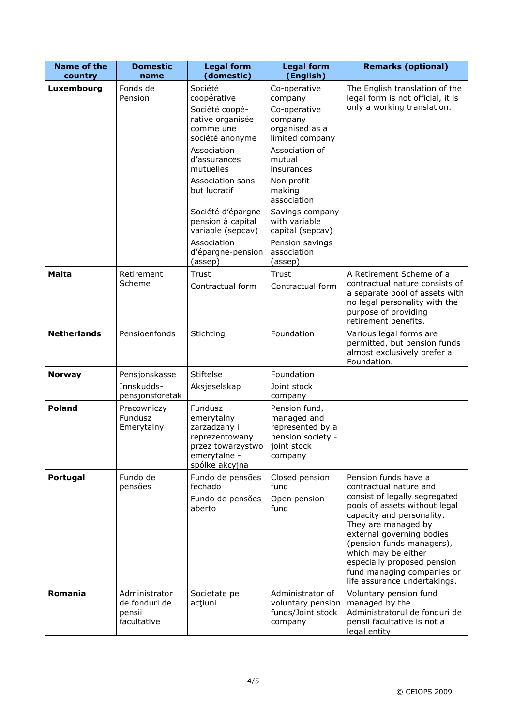| <b>Name of the</b>    | <b>Domestic</b>                                         | <b>Legal form</b>                                                                                                                                                                                                                                                         | <b>Legal form</b>                                                                                                                                                                                                                                                | <b>Remarks (optional)</b>                                                                                                                                                                                                                                                                                                                          |
|-----------------------|---------------------------------------------------------|---------------------------------------------------------------------------------------------------------------------------------------------------------------------------------------------------------------------------------------------------------------------------|------------------------------------------------------------------------------------------------------------------------------------------------------------------------------------------------------------------------------------------------------------------|----------------------------------------------------------------------------------------------------------------------------------------------------------------------------------------------------------------------------------------------------------------------------------------------------------------------------------------------------|
| country<br>Luxembourg | name<br>Fonds de<br>Pension                             | (domestic)<br>Société<br>coopérative<br>Société coopé-<br>rative organisée<br>comme une<br>société anonyme<br>Association<br>d'assurances<br>mutuelles<br>Association sans<br>but lucratif<br>Société d'épargne-<br>pension à capital<br>variable (sepcav)<br>Association | (English)<br>Co-operative<br>company<br>Co-operative<br>company<br>organised as a<br>limited company<br>Association of<br>mutual<br>insurances<br>Non profit<br>making<br>association<br>Savings company<br>with variable<br>capital (sepcav)<br>Pension savings | The English translation of the<br>legal form is not official, it is<br>only a working translation.                                                                                                                                                                                                                                                 |
| <b>Malta</b>          | Retirement<br>Scheme                                    | d'épargne-pension<br>(assep)<br>Trust<br>Contractual form                                                                                                                                                                                                                 | association<br>(assep)<br>Trust<br>Contractual form                                                                                                                                                                                                              | A Retirement Scheme of a<br>contractual nature consists of<br>a separate pool of assets with<br>no legal personality with the<br>purpose of providing<br>retirement benefits.                                                                                                                                                                      |
| <b>Netherlands</b>    | Pensioenfonds                                           | Stichting                                                                                                                                                                                                                                                                 | Foundation                                                                                                                                                                                                                                                       | Various legal forms are<br>permitted, but pension funds<br>almost exclusively prefer a<br>Foundation.                                                                                                                                                                                                                                              |
| <b>Norway</b>         | Pensjonskasse<br>Innskudds-<br>pensjonsforetak          | <b>Stiftelse</b><br>Aksjeselskap                                                                                                                                                                                                                                          | Foundation<br>Joint stock<br>company                                                                                                                                                                                                                             |                                                                                                                                                                                                                                                                                                                                                    |
| <b>Poland</b>         | Pracowniczy<br>Fundusz<br>Emerytalny                    | Fundusz<br>emerytalny<br>zarzadzany i<br>reprezentowany<br>przez towarzystwo<br>emerytalne -<br>spólke akcyjna                                                                                                                                                            | Pension fund,<br>managed and<br>represented by a<br>pension society -<br>joint stock<br>company                                                                                                                                                                  |                                                                                                                                                                                                                                                                                                                                                    |
| Portugal              | Fundo de<br>pensões                                     | Fundo de pensões<br>fechado<br>Fundo de pensões<br>aberto                                                                                                                                                                                                                 | Closed pension<br>fund<br>Open pension<br>fund                                                                                                                                                                                                                   | Pension funds have a<br>contractual nature and<br>consist of legally segregated<br>pools of assets without legal<br>capacity and personality.<br>They are managed by<br>external governing bodies<br>(pension funds managers),<br>which may be either<br>especially proposed pension<br>fund managing companies or<br>life assurance undertakings. |
| Romania               | Administrator<br>de fonduri de<br>pensii<br>facultative | Societate pe<br>acțiuni                                                                                                                                                                                                                                                   | Administrator of<br>voluntary pension<br>funds/Joint stock<br>company                                                                                                                                                                                            | Voluntary pension fund<br>managed by the<br>Administratorul de fonduri de<br>pensii facultative is not a<br>legal entity.                                                                                                                                                                                                                          |